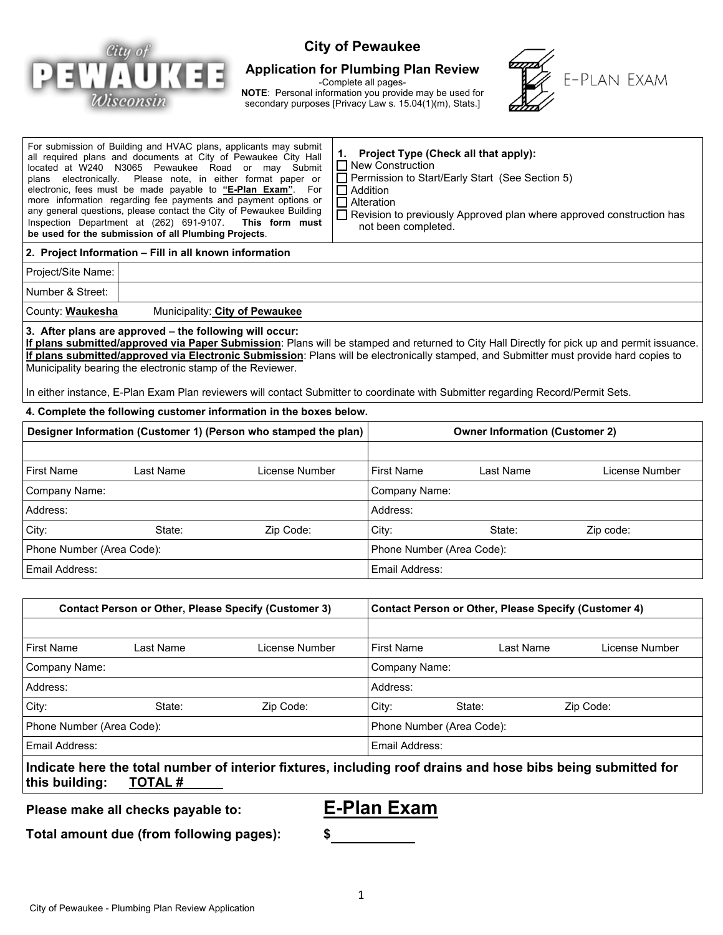

# **City of Pewaukee**

#### **Application for Plumbing Plan Review**

-Complete all pages-

**NOTE**: Personal information you provide may be used for secondary purposes [Privacy Law s. 15.04(1)(m), Stats.]



| For submission of Building and HVAC plans, applicants may submit<br>all required plans and documents at City of Pewaukee City Hall<br>located at W240 N3065 Pewaukee Road or may Submit<br>Please note, in either format paper or<br>plans electronically.<br>electronic, fees must be made payable to "E-Plan Exam". For<br>more information regarding fee payments and payment options or<br>any general questions, please contact the City of Pewaukee Building<br>Inspection Department at (262) 691-9107.<br>This form must<br>be used for the submission of all Plumbing Projects. |           |                |  | Project Type (Check all that apply):<br>1.<br>$\Box$ New Construction<br>Permission to Start/Early Start (See Section 5)<br>$\Box$ Addition<br>$\Box$ Alteration<br>Revision to previously Approved plan where approved construction has<br>not been completed. |           |                |  |  |  |
|------------------------------------------------------------------------------------------------------------------------------------------------------------------------------------------------------------------------------------------------------------------------------------------------------------------------------------------------------------------------------------------------------------------------------------------------------------------------------------------------------------------------------------------------------------------------------------------|-----------|----------------|--|-----------------------------------------------------------------------------------------------------------------------------------------------------------------------------------------------------------------------------------------------------------------|-----------|----------------|--|--|--|
| 2. Project Information - Fill in all known information                                                                                                                                                                                                                                                                                                                                                                                                                                                                                                                                   |           |                |  |                                                                                                                                                                                                                                                                 |           |                |  |  |  |
| Project/Site Name:                                                                                                                                                                                                                                                                                                                                                                                                                                                                                                                                                                       |           |                |  |                                                                                                                                                                                                                                                                 |           |                |  |  |  |
| Number & Street:                                                                                                                                                                                                                                                                                                                                                                                                                                                                                                                                                                         |           |                |  |                                                                                                                                                                                                                                                                 |           |                |  |  |  |
| County: <b>Waukesha</b><br>Municipality: City of Pewaukee                                                                                                                                                                                                                                                                                                                                                                                                                                                                                                                                |           |                |  |                                                                                                                                                                                                                                                                 |           |                |  |  |  |
| 3. After plans are approved - the following will occur:<br>If plans submitted/approved via Paper Submission: Plans will be stamped and returned to City Hall Directly for pick up and permit issuance.<br>If plans submitted/approved via Electronic Submission: Plans will be electronically stamped, and Submitter must provide hard copies to<br>Municipality bearing the electronic stamp of the Reviewer.<br>In either instance, E-Plan Exam Plan reviewers will contact Submitter to coordinate with Submitter regarding Record/Permit Sets.                                       |           |                |  |                                                                                                                                                                                                                                                                 |           |                |  |  |  |
| 4. Complete the following customer information in the boxes below.<br>Designer Information (Customer 1) (Person who stamped the plan)                                                                                                                                                                                                                                                                                                                                                                                                                                                    |           |                |  | <b>Owner Information (Customer 2)</b>                                                                                                                                                                                                                           |           |                |  |  |  |
|                                                                                                                                                                                                                                                                                                                                                                                                                                                                                                                                                                                          |           |                |  |                                                                                                                                                                                                                                                                 |           |                |  |  |  |
| <b>First Name</b>                                                                                                                                                                                                                                                                                                                                                                                                                                                                                                                                                                        | Last Name | License Number |  | <b>First Name</b>                                                                                                                                                                                                                                               | Last Name | License Number |  |  |  |
| Company Name:                                                                                                                                                                                                                                                                                                                                                                                                                                                                                                                                                                            |           |                |  | Company Name:                                                                                                                                                                                                                                                   |           |                |  |  |  |
| Address:                                                                                                                                                                                                                                                                                                                                                                                                                                                                                                                                                                                 |           |                |  | Address:                                                                                                                                                                                                                                                        |           |                |  |  |  |
| City:                                                                                                                                                                                                                                                                                                                                                                                                                                                                                                                                                                                    | State:    | Zip Code:      |  | City:                                                                                                                                                                                                                                                           | State:    | Zip code:      |  |  |  |
| Phone Number (Area Code):                                                                                                                                                                                                                                                                                                                                                                                                                                                                                                                                                                |           |                |  | Phone Number (Area Code):                                                                                                                                                                                                                                       |           |                |  |  |  |
| Email Address:                                                                                                                                                                                                                                                                                                                                                                                                                                                                                                                                                                           |           |                |  | Email Address:                                                                                                                                                                                                                                                  |           |                |  |  |  |
|                                                                                                                                                                                                                                                                                                                                                                                                                                                                                                                                                                                          |           |                |  |                                                                                                                                                                                                                                                                 |           |                |  |  |  |
| <b>Contact Person or Other, Please Specify (Customer 3)</b>                                                                                                                                                                                                                                                                                                                                                                                                                                                                                                                              |           |                |  | <b>Contact Person or Other, Please Specify (Customer 4)</b>                                                                                                                                                                                                     |           |                |  |  |  |
|                                                                                                                                                                                                                                                                                                                                                                                                                                                                                                                                                                                          |           |                |  |                                                                                                                                                                                                                                                                 |           |                |  |  |  |
| <b>First Name</b>                                                                                                                                                                                                                                                                                                                                                                                                                                                                                                                                                                        | Last Name | License Number |  | <b>First Name</b>                                                                                                                                                                                                                                               | Last Name | License Number |  |  |  |
| <b>Company Name:</b>                                                                                                                                                                                                                                                                                                                                                                                                                                                                                                                                                                     |           |                |  | Company Name:                                                                                                                                                                                                                                                   |           |                |  |  |  |

| Company Name:             |        |           |          | Company Name:             |           |  |  |
|---------------------------|--------|-----------|----------|---------------------------|-----------|--|--|
| Address:                  |        |           | Address: |                           |           |  |  |
| City:                     | State: | Zip Code: | City:    | State:                    | Zip Code: |  |  |
| Phone Number (Area Code): |        |           |          | Phone Number (Area Code): |           |  |  |
| Email Address:            |        |           |          | Email Address:            |           |  |  |

**Indicate here the total number of interior fixtures, including roof drains and hose bibs being submitted for**  this building:

**Please make all checks payable to: E-Plan Exam**

**Total amount due (from following pages): \$**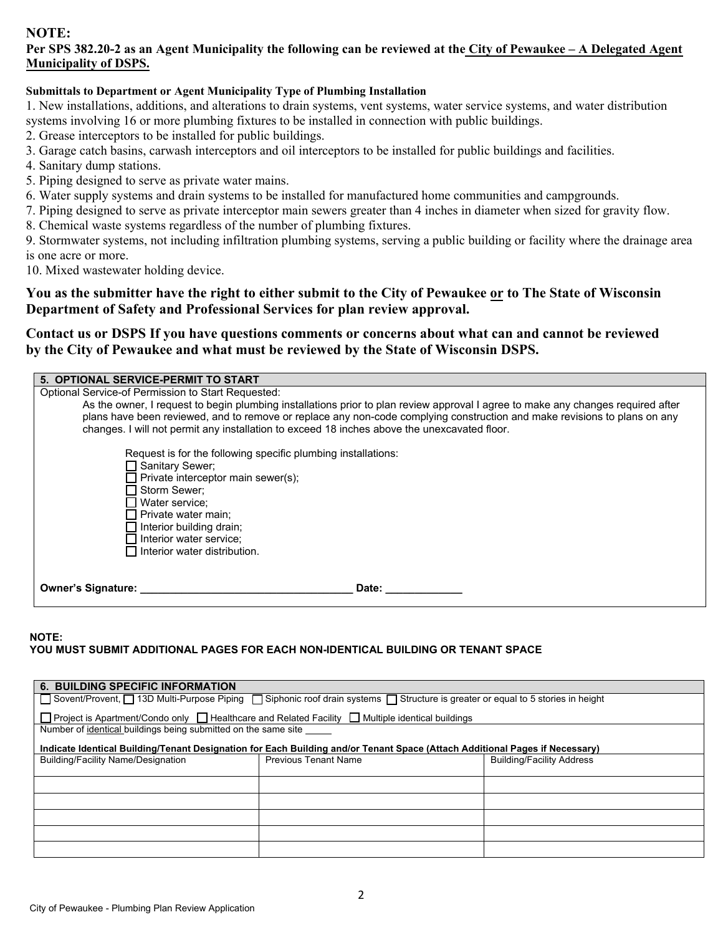#### **NOTE:**

## **Per SPS 382.20-2 as an Agent Municipality the following can be reviewed at the City of Pewaukee – A Delegated Agent Municipality of DSPS.**

#### **Submittals to Department or Agent Municipality Type of Plumbing Installation**

1. New installations, additions, and alterations to drain systems, vent systems, water service systems, and water distribution systems involving 16 or more plumbing fixtures to be installed in connection with public buildings.

- 2. Grease interceptors to be installed for public buildings.
- 3. Garage catch basins, carwash interceptors and oil interceptors to be installed for public buildings and facilities.
- 4. Sanitary dump stations.
- 5. Piping designed to serve as private water mains.
- 6. Water supply systems and drain systems to be installed for manufactured home communities and campgrounds.
- 7. Piping designed to serve as private interceptor main sewers greater than 4 inches in diameter when sized for gravity flow.
- 8. Chemical waste systems regardless of the number of plumbing fixtures.

9. Stormwater systems, not including infiltration plumbing systems, serving a public building or facility where the drainage area is one acre or more.

10. Mixed wastewater holding device.

**You as the submitter have the right to either submit to the City of Pewaukee or to The State of Wisconsin Department of Safety and Professional Services for plan review approval.** 

## **Contact us or DSPS If you have questions comments or concerns about what can and cannot be reviewed by the City of Pewaukee and what must be reviewed by the State of Wisconsin DSPS.**

| 5. OPTIONAL SERVICE-PERMIT TO START                                                                                                                                                                                                                                                                                                                           |
|---------------------------------------------------------------------------------------------------------------------------------------------------------------------------------------------------------------------------------------------------------------------------------------------------------------------------------------------------------------|
| Optional Service-of Permission to Start Requested:                                                                                                                                                                                                                                                                                                            |
| As the owner, I request to begin plumbing installations prior to plan review approval I agree to make any changes required after<br>plans have been reviewed, and to remove or replace any non-code complying construction and make revisions to plans on any<br>changes. I will not permit any installation to exceed 18 inches above the unexcavated floor. |
| Request is for the following specific plumbing installations:                                                                                                                                                                                                                                                                                                 |
| コ Sanitary Sewer;                                                                                                                                                                                                                                                                                                                                             |
| $\Box$ Private interceptor main sewer(s);                                                                                                                                                                                                                                                                                                                     |
| □ Storm Sewer;                                                                                                                                                                                                                                                                                                                                                |
| Water service;                                                                                                                                                                                                                                                                                                                                                |
| Private water main;                                                                                                                                                                                                                                                                                                                                           |
| $\Box$ Interior building drain;                                                                                                                                                                                                                                                                                                                               |
| Interior water service;                                                                                                                                                                                                                                                                                                                                       |
| $\Box$ Interior water distribution.                                                                                                                                                                                                                                                                                                                           |
|                                                                                                                                                                                                                                                                                                                                                               |
| Owner's Signature: __<br>Date:                                                                                                                                                                                                                                                                                                                                |

#### **NOTE:**

## **YOU MUST SUBMIT ADDITIONAL PAGES FOR EACH NON-IDENTICAL BUILDING OR TENANT SPACE**

| <b>6. BUILDING SPECIFIC INFORMATION</b>                                                                                           |                             |                                  |  |  |  |  |  |
|-----------------------------------------------------------------------------------------------------------------------------------|-----------------------------|----------------------------------|--|--|--|--|--|
| □ Sovent/Provent, □ 13D Multi-Purpose Piping □ Siphonic roof drain systems □ Structure is greater or equal to 5 stories in height |                             |                                  |  |  |  |  |  |
| □ Project is Apartment/Condo only □ Healthcare and Related Facility □ Multiple identical buildings                                |                             |                                  |  |  |  |  |  |
| Number of identical buildings being submitted on the same site                                                                    |                             |                                  |  |  |  |  |  |
| Indicate Identical Building/Tenant Designation for Each Building and/or Tenant Space (Attach Additional Pages if Necessary)       |                             |                                  |  |  |  |  |  |
| <b>Building/Facility Name/Designation</b>                                                                                         | <b>Previous Tenant Name</b> | <b>Building/Facility Address</b> |  |  |  |  |  |
|                                                                                                                                   |                             |                                  |  |  |  |  |  |
|                                                                                                                                   |                             |                                  |  |  |  |  |  |
|                                                                                                                                   |                             |                                  |  |  |  |  |  |
|                                                                                                                                   |                             |                                  |  |  |  |  |  |
|                                                                                                                                   |                             |                                  |  |  |  |  |  |
|                                                                                                                                   |                             |                                  |  |  |  |  |  |
|                                                                                                                                   |                             |                                  |  |  |  |  |  |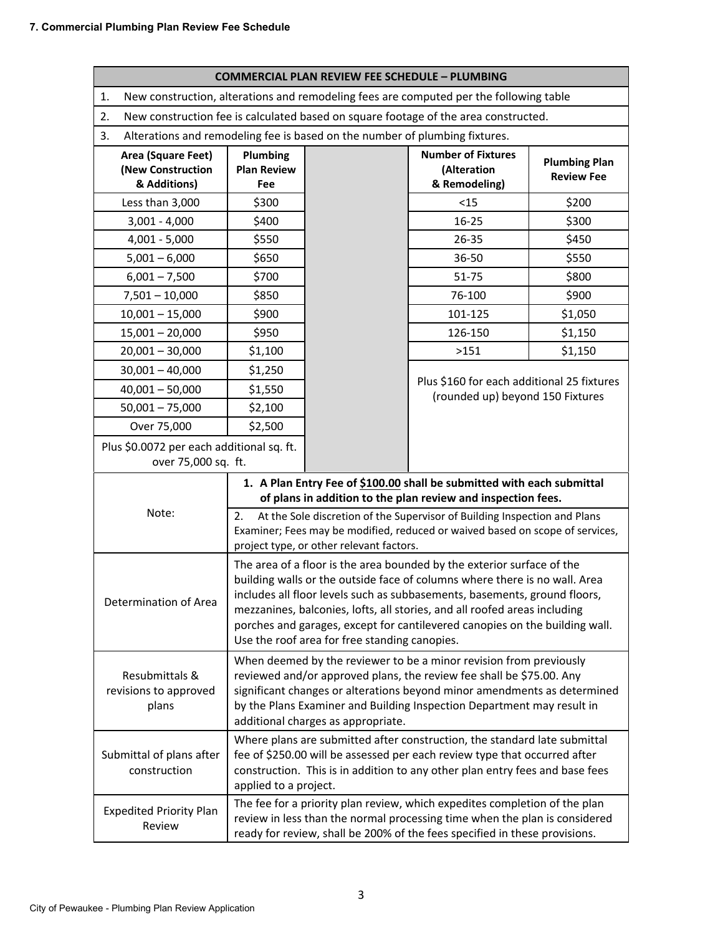| <b>COMMERCIAL PLAN REVIEW FEE SCHEDULE - PLUMBING</b>                                                                                                                                                                                                                                                                                                                                                                                                                   |                                                                                                                                                                                                                                                                                                                                        |  |                                                                                |                                           |  |  |
|-------------------------------------------------------------------------------------------------------------------------------------------------------------------------------------------------------------------------------------------------------------------------------------------------------------------------------------------------------------------------------------------------------------------------------------------------------------------------|----------------------------------------------------------------------------------------------------------------------------------------------------------------------------------------------------------------------------------------------------------------------------------------------------------------------------------------|--|--------------------------------------------------------------------------------|-------------------------------------------|--|--|
| New construction, alterations and remodeling fees are computed per the following table<br>1.                                                                                                                                                                                                                                                                                                                                                                            |                                                                                                                                                                                                                                                                                                                                        |  |                                                                                |                                           |  |  |
| New construction fee is calculated based on square footage of the area constructed.<br>2.                                                                                                                                                                                                                                                                                                                                                                               |                                                                                                                                                                                                                                                                                                                                        |  |                                                                                |                                           |  |  |
| Alterations and remodeling fee is based on the number of plumbing fixtures.<br>3.                                                                                                                                                                                                                                                                                                                                                                                       |                                                                                                                                                                                                                                                                                                                                        |  |                                                                                |                                           |  |  |
| Area (Square Feet)<br>(New Construction<br>& Additions)                                                                                                                                                                                                                                                                                                                                                                                                                 | Plumbing<br><b>Plan Review</b><br>Fee                                                                                                                                                                                                                                                                                                  |  | <b>Number of Fixtures</b><br>(Alteration<br>& Remodeling)                      | <b>Plumbing Plan</b><br><b>Review Fee</b> |  |  |
| Less than 3,000                                                                                                                                                                                                                                                                                                                                                                                                                                                         | \$300                                                                                                                                                                                                                                                                                                                                  |  | $15$                                                                           | \$200                                     |  |  |
| $3,001 - 4,000$                                                                                                                                                                                                                                                                                                                                                                                                                                                         | \$400                                                                                                                                                                                                                                                                                                                                  |  | 16-25                                                                          | \$300                                     |  |  |
| $4,001 - 5,000$                                                                                                                                                                                                                                                                                                                                                                                                                                                         | \$550                                                                                                                                                                                                                                                                                                                                  |  | 26-35                                                                          | \$450                                     |  |  |
| $5,001 - 6,000$                                                                                                                                                                                                                                                                                                                                                                                                                                                         | \$650                                                                                                                                                                                                                                                                                                                                  |  | 36-50                                                                          | \$550                                     |  |  |
| $6,001 - 7,500$                                                                                                                                                                                                                                                                                                                                                                                                                                                         | \$700                                                                                                                                                                                                                                                                                                                                  |  | 51-75                                                                          | \$800                                     |  |  |
| $7,501 - 10,000$                                                                                                                                                                                                                                                                                                                                                                                                                                                        | \$850                                                                                                                                                                                                                                                                                                                                  |  | 76-100                                                                         | \$900                                     |  |  |
| $10,001 - 15,000$                                                                                                                                                                                                                                                                                                                                                                                                                                                       | \$900                                                                                                                                                                                                                                                                                                                                  |  | 101-125                                                                        | \$1,050                                   |  |  |
| $15,001 - 20,000$                                                                                                                                                                                                                                                                                                                                                                                                                                                       | \$950                                                                                                                                                                                                                                                                                                                                  |  | 126-150                                                                        | \$1,150                                   |  |  |
| $20,001 - 30,000$                                                                                                                                                                                                                                                                                                                                                                                                                                                       | \$1,100                                                                                                                                                                                                                                                                                                                                |  | >151                                                                           | \$1,150                                   |  |  |
| $30,001 - 40,000$                                                                                                                                                                                                                                                                                                                                                                                                                                                       | \$1,250                                                                                                                                                                                                                                                                                                                                |  |                                                                                |                                           |  |  |
| $40,001 - 50,000$                                                                                                                                                                                                                                                                                                                                                                                                                                                       | \$1,550                                                                                                                                                                                                                                                                                                                                |  | Plus \$160 for each additional 25 fixtures<br>(rounded up) beyond 150 Fixtures |                                           |  |  |
| $50,001 - 75,000$                                                                                                                                                                                                                                                                                                                                                                                                                                                       | \$2,100                                                                                                                                                                                                                                                                                                                                |  |                                                                                |                                           |  |  |
| Over 75,000                                                                                                                                                                                                                                                                                                                                                                                                                                                             | \$2,500                                                                                                                                                                                                                                                                                                                                |  |                                                                                |                                           |  |  |
| Plus \$0.0072 per each additional sq. ft.<br>over 75,000 sq. ft.                                                                                                                                                                                                                                                                                                                                                                                                        |                                                                                                                                                                                                                                                                                                                                        |  |                                                                                |                                           |  |  |
|                                                                                                                                                                                                                                                                                                                                                                                                                                                                         | 1. A Plan Entry Fee of \$100.00 shall be submitted with each submittal<br>of plans in addition to the plan review and inspection fees.                                                                                                                                                                                                 |  |                                                                                |                                           |  |  |
| Note:<br>At the Sole discretion of the Supervisor of Building Inspection and Plans<br>2.<br>Examiner; Fees may be modified, reduced or waived based on scope of services,<br>project type, or other relevant factors.                                                                                                                                                                                                                                                   |                                                                                                                                                                                                                                                                                                                                        |  |                                                                                |                                           |  |  |
| The area of a floor is the area bounded by the exterior surface of the<br>building walls or the outside face of columns where there is no wall. Area<br>includes all floor levels such as subbasements, basements, ground floors,<br>Determination of Area<br>mezzanines, balconies, lofts, all stories, and all roofed areas including<br>porches and garages, except for cantilevered canopies on the building wall.<br>Use the roof area for free standing canopies. |                                                                                                                                                                                                                                                                                                                                        |  |                                                                                |                                           |  |  |
| Resubmittals &<br>revisions to approved<br>plans                                                                                                                                                                                                                                                                                                                                                                                                                        | When deemed by the reviewer to be a minor revision from previously<br>reviewed and/or approved plans, the review fee shall be \$75.00. Any<br>significant changes or alterations beyond minor amendments as determined<br>by the Plans Examiner and Building Inspection Department may result in<br>additional charges as appropriate. |  |                                                                                |                                           |  |  |
| Submittal of plans after<br>construction                                                                                                                                                                                                                                                                                                                                                                                                                                | Where plans are submitted after construction, the standard late submittal<br>fee of \$250.00 will be assessed per each review type that occurred after<br>construction. This is in addition to any other plan entry fees and base fees<br>applied to a project.                                                                        |  |                                                                                |                                           |  |  |
| <b>Expedited Priority Plan</b><br>Review                                                                                                                                                                                                                                                                                                                                                                                                                                | The fee for a priority plan review, which expedites completion of the plan<br>review in less than the normal processing time when the plan is considered<br>ready for review, shall be 200% of the fees specified in these provisions.                                                                                                 |  |                                                                                |                                           |  |  |